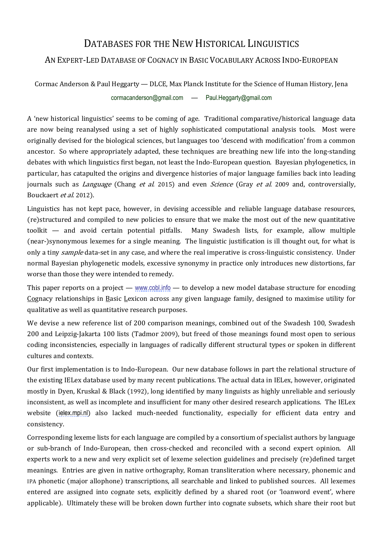## DATABASES FOR THE NEW HISTORICAL LINGUISTICS

## AN EXPERT-LED DATABASE OF COGNACY IN BASIC VOCABULARY ACROSS INDO-EUROPEAN

Cormac Anderson & Paul Heggarty — DLCE, Max Planck Institute for the Science of Human History, Jena [cormacanderson@gmail.com](mailto:cormacanderson@gmail.com) — [Paul.Heggarty@gmail.com](mailto:Paul.Heggarty@gmail.com)

A 'new historical linguistics' seems to be coming of age. Traditional comparative/historical language data are now being reanalysed using a set of highly sophisticated computational analysis tools. Most were originally devised for the biological sciences, but languages too 'descend with modification' from a common ancestor. So where appropriately adapted, these techniques are breathing new life into the long-standing debates with which linguistics first began, not least the Indo-European question. Bayesian phylogenetics, in particular, has catapulted the origins and divergence histories of major language families back into leading journals such as *Language* (Chang *et al.* 2015) and even *Science* (Gray *et al.* 2009 and, controversially, Bouckaert et al. 2012).

Linguistics has not kept pace, however, in devising accessible and reliable language database resources, (re)structured and compiled to new policies to ensure that we make the most out of the new quantitative toolkit — and avoid certain potential pitfalls. Many Swadesh lists, for example, allow multiple (near-)synonymous lexemes for a single meaning. The linguistic justification is ill thought out, for what is only a tiny *sample* data-set in any case, and where the real imperative is cross-linguistic consistency. Under normal Bayesian phylogenetic models, excessive synonymy in practice only introduces new distortions, far worse than those they were intended to remedy.

This paper reports on a project — [www.cobl.info](http://www.cobl.info/) — to develop a new model database structure for encoding Cognacy relationships in Basic Lexicon across any given language family, designed to maximise utility for qualitative as well as quantitative research purposes.

We devise a new reference list of 200 comparison meanings, combined out of the Swadesh 100, Swadesh 200 and Leipzig-Jakarta 100 lists (Tadmor 2009), but freed of those meanings found most open to serious coding inconsistencies, especially in languages of radically different structural types or spoken in different cultures and contexts.

Our first implementation is to Indo-European. Our new database follows in part the relational structure of the existing IELex database used by many recent publications. The actual data in IELex, however, originated mostly in Dyen, Kruskal & Black (1992), long identified by many linguists as highly unreliable and seriously inconsistent, as well as incomplete and insufficient for many other desired research applications. The IELex website ([ielex.mpi.nl](http://ielex.mpi.nl/)) also lacked much-needed functionality, especially for efficient data entry and consistency.

Corresponding lexeme lists for each language are compiled by a consortium of specialist authors by language or sub-branch of Indo-European, then cross-checked and reconciled with a second expert opinion. All experts work to a new and very explicit set of lexeme selection guidelines and precisely (re)defined target meanings. Entries are given in native orthography, Roman transliteration where necessary, phonemic and IPA phonetic (major allophone) transcriptions, all searchable and linked to published sources. All lexemes entered are assigned into cognate sets, explicitly defined by a shared root (or 'loanword event', where applicable). Ultimately these will be broken down further into cognate subsets, which share their root but